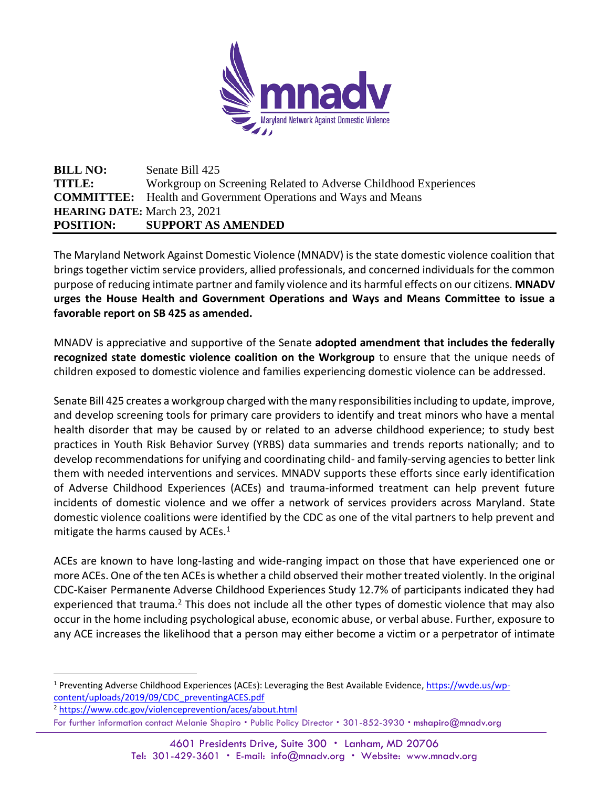

## **BILL NO:** Senate Bill 425 **TITLE:** Workgroup on Screening Related to Adverse Childhood Experiences **COMMITTEE:** Health and Government Operations and Ways and Means **HEARING DATE:** March 23, 2021 **POSITION: SUPPORT AS AMENDED**

The Maryland Network Against Domestic Violence (MNADV) is the state domestic violence coalition that brings together victim service providers, allied professionals, and concerned individuals for the common purpose of reducing intimate partner and family violence and its harmful effects on our citizens. **MNADV urges the House Health and Government Operations and Ways and Means Committee to issue a favorable report on SB 425 as amended.**

MNADV is appreciative and supportive of the Senate **adopted amendment that includes the federally recognized state domestic violence coalition on the Workgroup** to ensure that the unique needs of children exposed to domestic violence and families experiencing domestic violence can be addressed.

Senate Bill 425 creates a workgroup charged with the many responsibilities including to update, improve, and develop screening tools for primary care providers to identify and treat minors who have a mental health disorder that may be caused by or related to an adverse childhood experience; to study best practices in Youth Risk Behavior Survey (YRBS) data summaries and trends reports nationally; and to develop recommendations for unifying and coordinating child- and family-serving agencies to better link them with needed interventions and services. MNADV supports these efforts since early identification of Adverse Childhood Experiences (ACEs) and trauma-informed treatment can help prevent future incidents of domestic violence and we offer a network of services providers across Maryland. State domestic violence coalitions were identified by the CDC as one of the vital partners to help prevent and mitigate the harms caused by ACEs. $1$ 

ACEs are known to have long-lasting and wide-ranging impact on those that have experienced one or more ACEs. One of the ten ACEs is whether a child observed their mother treated violently. In the original CDC-Kaiser Permanente Adverse Childhood Experiences Study 12.7% of participants indicated they had experienced that trauma.<sup>2</sup> This does not include all the other types of domestic violence that may also occur in the home including psychological abuse, economic abuse, or verbal abuse. Further, exposure to any ACE increases the likelihood that a person may either become a victim or a perpetrator of intimate

<sup>1</sup> Preventing Adverse Childhood Experiences (ACEs): Leveraging the Best Available Evidence, [https://wvde.us/wp](https://wvde.us/wp-content/uploads/2019/09/CDC_preventingACES.pdf)[content/uploads/2019/09/CDC\\_preventingACES.pdf](https://wvde.us/wp-content/uploads/2019/09/CDC_preventingACES.pdf)

For further information contact Melanie Shapiro . Public Policy Director . 301-852-3930 . mshapiro@mnadv.org <sup>2</sup> <https://www.cdc.gov/violenceprevention/aces/about.html>